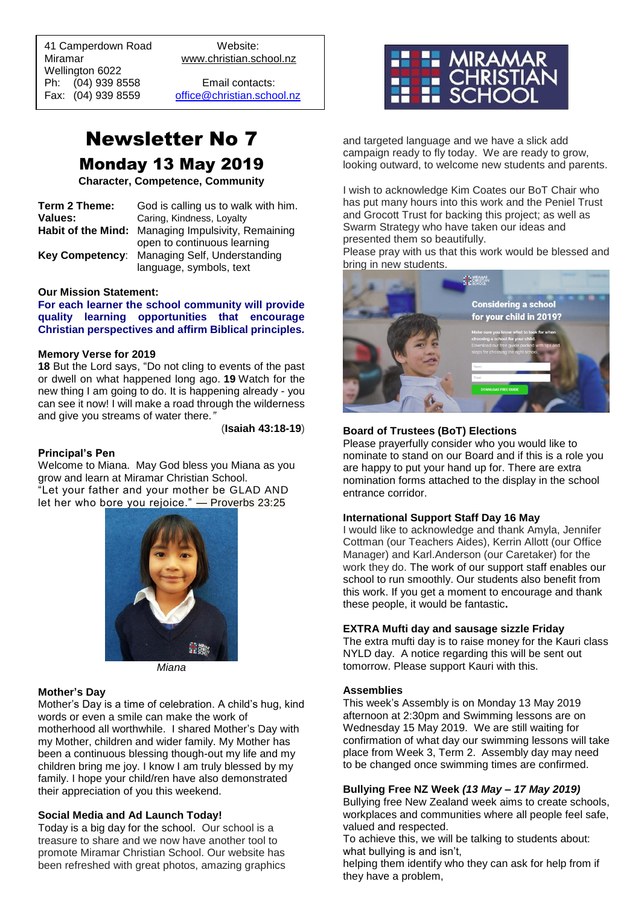41 Camperdown Road Website:<br>Miramar Www.christian.sc Wellington 6022 Ph: (04) 939 8558 Email contacts:

 $\overline{a}$ 

www.christian.school.nz

Fax: (04) 939 8559 [office@christian.school.nz](mailto:office@christian.school.nz)

# Newsletter No 7 Monday 13 May 2019

**Character, Competence, Community**

| Term 2 Theme: | God is calling us to walk with him.                |
|---------------|----------------------------------------------------|
| Values:       | Caring, Kindness, Loyalty                          |
|               | Habit of the Mind: Managing Impulsivity, Remaining |
|               | open to continuous learning                        |
|               | Key Competency: Managing Self, Understanding       |
|               | language, symbols, text                            |

#### **Our Mission Statement:**

**For each learner the school community will provide quality learning opportunities that encourage Christian perspectives and affirm Biblical principles***.*

#### **Memory Verse for 2019**

**18** But the Lord says, "Do not cling to events of the past or dwell on what happened long ago. **19** Watch for the new thing I am going to do. It is happening already - you can see it now! I will make a road through the wilderness and give you streams of water there*."*

(**Isaiah 43:18-19**)

#### **Principal's Pen**

Welcome to Miana. May God bless you Miana as you grow and learn at Miramar Christian School. "Let your father and your mother be GLAD AND let her who bore you rejoice." — Proverbs 23:25



*Miana*

#### **Mother's Day**

Mother's Day is a time of celebration. A child's hug, kind words or even a smile can make the work of motherhood all worthwhile. I shared Mother's Day with my Mother, children and wider family. My Mother has been a continuous blessing though-out my life and my children bring me joy. I know I am truly blessed by my family. I hope your child/ren have also demonstrated their appreciation of you this weekend.

#### **Social Media and Ad Launch Today!**

Today is a big day for the school. Our school is a treasure to share and we now have another tool to promote Miramar Christian School. Our website has been refreshed with great photos, amazing graphics



and targeted language and we have a slick add campaign ready to fly today. We are ready to grow, looking outward, to welcome new students and parents.

I wish to acknowledge Kim Coates our BoT Chair who has put many hours into this work and the Peniel Trust and Grocott Trust for backing this project; as well as Swarm Strategy who have taken our ideas and presented them so beautifully.

Please pray with us that this work would be blessed and bring in new students.



#### **Board of Trustees (BoT) Elections**

Please prayerfully consider who you would like to nominate to stand on our Board and if this is a role you are happy to put your hand up for. There are extra nomination forms attached to the display in the school entrance corridor.

#### **International Support Staff Day 16 May**

I would like to acknowledge and thank Amyla, Jennifer Cottman (our Teachers Aides), Kerrin Allott (our Office Manager) and Karl.Anderson (our Caretaker) for the work they do. The work of our support staff enables our school to run smoothly. Our students also benefit from this work. If you get a moment to encourage and thank these people, it would be fantastic**.**

#### **EXTRA Mufti day and sausage sizzle Friday**

The extra mufti day is to raise money for the Kauri class NYLD day. A notice regarding this will be sent out tomorrow. Please support Kauri with this.

#### **Assemblies**

This week's Assembly is on Monday 13 May 2019 afternoon at 2:30pm and Swimming lessons are on Wednesday 15 May 2019. We are still waiting for confirmation of what day our swimming lessons will take place from Week 3, Term 2. Assembly day may need to be changed once swimming times are confirmed.

#### **Bullying Free NZ Week** *(13 May – 17 May 2019)*

Bullying free New Zealand week aims to create schools, workplaces and communities where all people feel safe, valued and respected.

To achieve this, we will be talking to students about: what bullying is and isn't,

helping them identify who they can ask for help from if they have a problem,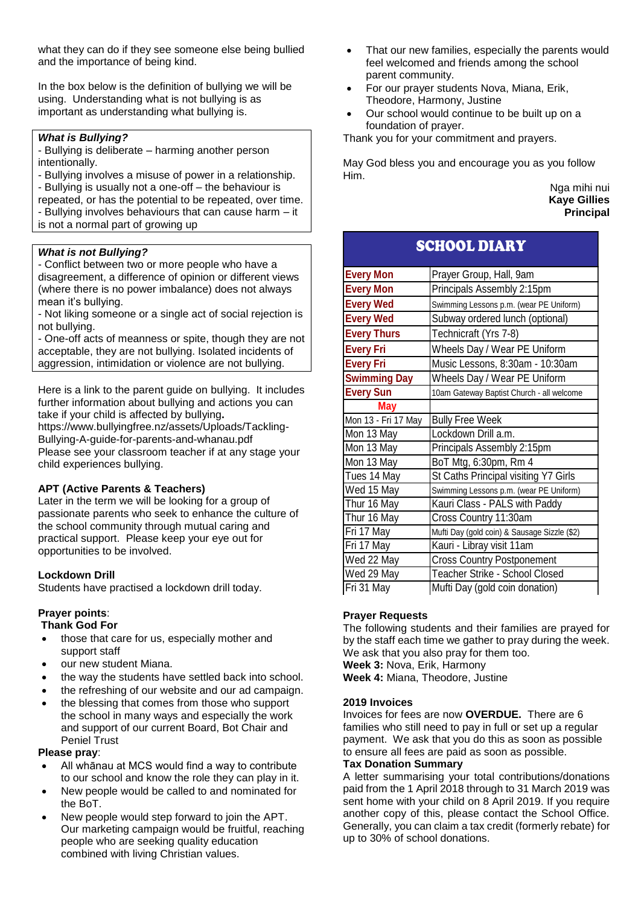what they can do if they see someone else being bullied and the importance of being kind.

In the box below is the definition of bullying we will be using. Understanding what is not bullying is as important as understanding what bullying is.

# *What is Bullying?*

- Bullying is deliberate – harming another person intentionally.

- Bullying involves a misuse of power in a relationship.

- Bullying is usually not a one-off – the behaviour is repeated, or has the potential to be repeated, over time. - Bullying involves behaviours that can cause harm – it

is not a normal part of growing up

# *What is not Bullying?*

- Conflict between two or more people who have a disagreement, a difference of opinion or different views (where there is no power imbalance) does not always mean it's bullying.

- Not liking someone or a single act of social rejection is not bullying.

- One-off acts of meanness or spite, though they are not acceptable, they are not bullying. Isolated incidents of aggression, intimidation or violence are not bullying.

Here is a link to the parent guide on bullying. It includes further information about bullying and actions you can take if your child is affected by bullying**.** 

https://www.bullyingfree.nz/assets/Uploads/Tackling-Bullying-A-guide-for-parents-and-whanau.pdf Please see your classroom teacher if at any stage your child experiences bullying.

# **APT (Active Parents & Teachers)**

Later in the term we will be looking for a group of passionate parents who seek to enhance the culture of the school community through mutual caring and practical support. Please keep your eye out for opportunities to be involved.

# **Lockdown Drill**

Students have practised a lockdown drill today.

# **Prayer points**:

#### **Thank God For**

- those that care for us, especially mother and support staff
- our new student Miana.
- the way the students have settled back into school.
- the refreshing of our website and our ad campaign.
- the blessing that comes from those who support the school in many ways and especially the work and support of our current Board, Bot Chair and Peniel Trust

#### **Please pray**:

- All whānau at MCS would find a way to contribute to our school and know the role they can play in it.
- New people would be called to and nominated for the BoT.
- New people would step forward to join the APT. Our marketing campaign would be fruitful, reaching people who are seeking quality education combined with living Christian values.
- That our new families, especially the parents would feel welcomed and friends among the school parent community.
- For our prayer students Nova, Miana, Erik, Theodore, Harmony, Justine
- Our school would continue to be built up on a foundation of prayer.

Thank you for your commitment and prayers.

May God bless you and encourage you as you follow Him.

COUOQI DIARY

Nga mihi nui **Kaye Gillies Principal**

| SCHUUL DIAN I       |                                              |
|---------------------|----------------------------------------------|
| <b>Every Mon</b>    | Prayer Group, Hall, 9am                      |
| <b>Every Mon</b>    | Principals Assembly 2:15pm                   |
| <b>Every Wed</b>    | Swimming Lessons p.m. (wear PE Uniform)      |
| <b>Every Wed</b>    | Subway ordered lunch (optional)              |
| <b>Every Thurs</b>  | Technicraft (Yrs 7-8)                        |
| <b>Every Fri</b>    | Wheels Day / Wear PE Uniform                 |
| <b>Every Fri</b>    | Music Lessons, 8:30am - 10:30am              |
| <b>Swimming Day</b> | Wheels Day / Wear PE Uniform                 |
| <b>Every Sun</b>    | 10am Gateway Baptist Church - all welcome    |
| <b>May</b>          |                                              |
| Mon 13 - Fri 17 May | <b>Bully Free Week</b>                       |
| Mon 13 May          | Lockdown Drill a.m.                          |
| Mon 13 May          | Principals Assembly 2:15pm                   |
| Mon 13 May          | BoT Mtg, 6:30pm, Rm 4                        |
| Tues 14 May         | St Caths Principal visiting Y7 Girls         |
| Wed 15 May          | Swimming Lessons p.m. (wear PE Uniform)      |
| Thur 16 May         | Kauri Class - PALS with Paddy                |
| Thur 16 May         | Cross Country 11:30am                        |
| Fri 17 May          | Mufti Day (gold coin) & Sausage Sizzle (\$2) |
| Fri 17 May          | Kauri - Libray visit 11am                    |
| Wed 22 May          | <b>Cross Country Postponement</b>            |
| Wed 29 May          | Teacher Strike - School Closed               |
| Fri 31 May          | Mufti Day (gold coin donation)               |

# **Prayer Requests**

The following students and their families are prayed for by the staff each time we gather to pray during the week. We ask that you also pray for them too. **Week 3:** Nova, Erik, Harmony

**Week 4:** Miana, Theodore, Justine

# **2019 Invoices**

Invoices for fees are now **OVERDUE.** There are 6 families who still need to pay in full or set up a regular payment. We ask that you do this as soon as possible to ensure all fees are paid as soon as possible.

# **Tax Donation Summary**

A letter summarising your total contributions/donations paid from the 1 April 2018 through to 31 March 2019 was sent home with your child on 8 April 2019. If you require another copy of this, please contact the School Office. Generally, you can claim a tax credit (formerly rebate) for up to 30% of school donations.